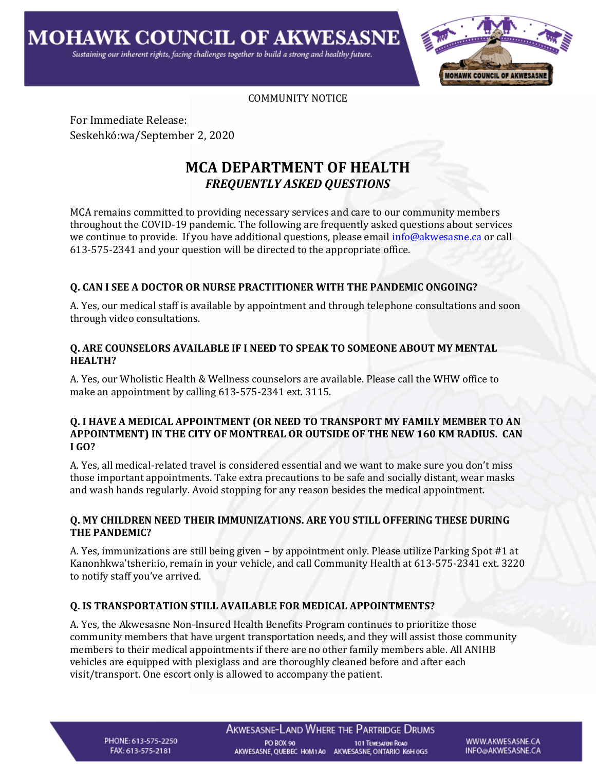

#### COMMUNITY NOTICE

For Immediate Release: Seskehkó:wa/September 2, 2020

# **MCA DEPARTMENT OF HEALTH** *FREQUENTLY ASKED QUESTIONS*

MCA remains committed to providing necessary services and care to our community members throughout the COVID-19 pandemic. The following are frequently asked questions about services we continue to provide. If you have additional questions, please email [info@akwesasne.ca](mailto:info@akwesasne.ca) or call 613-575-2341 and your question will be directed to the appropriate office.

### **Q. CAN I SEE A DOCTOR OR NURSE PRACTITIONER WITH THE PANDEMIC ONGOING?**

A. Yes, our medical staff is available by appointment and through telephone consultations and soon through video consultations.

## **Q. ARE COUNSELORS AVAILABLE IF I NEED TO SPEAK TO SOMEONE ABOUT MY MENTAL HEALTH?**

A. Yes, our Wholistic Health & Wellness counselors are available. Please call the WHW office to make an appointment by calling 613-575-2341 ext. 3115.

#### **Q. I HAVE A MEDICAL APPOINTMENT (OR NEED TO TRANSPORT MY FAMILY MEMBER TO AN APPOINTMENT) IN THE CITY OF MONTREAL OR OUTSIDE OF THE NEW 160 KM RADIUS. CAN I GO?**

A. Yes, all medical-related travel is considered essential and we want to make sure you don't miss those important appointments. Take extra precautions to be safe and socially distant, wear masks and wash hands regularly. Avoid stopping for any reason besides the medical appointment.

### **Q. MY CHILDREN NEED THEIR IMMUNIZATIONS. ARE YOU STILL OFFERING THESE DURING THE PANDEMIC?**

A. Yes, immunizations are still being given – by appointment only. Please utilize Parking Spot #1 at Kanonhkwa'tsheri:io, remain in your vehicle, and call Community Health at 613-575-2341 ext. 3220 to notify staff you've arrived.

### **Q. IS TRANSPORTATION STILL AVAILABLE FOR MEDICAL APPOINTMENTS?**

A. Yes, the Akwesasne Non-Insured Health Benefits Program continues to prioritize those community members that have urgent transportation needs, and they will assist those community members to their medical appointments if there are no other family members able. All ANIHB vehicles are equipped with plexiglass and are thoroughly cleaned before and after each visit/transport. One escort only is allowed to accompany the patient.